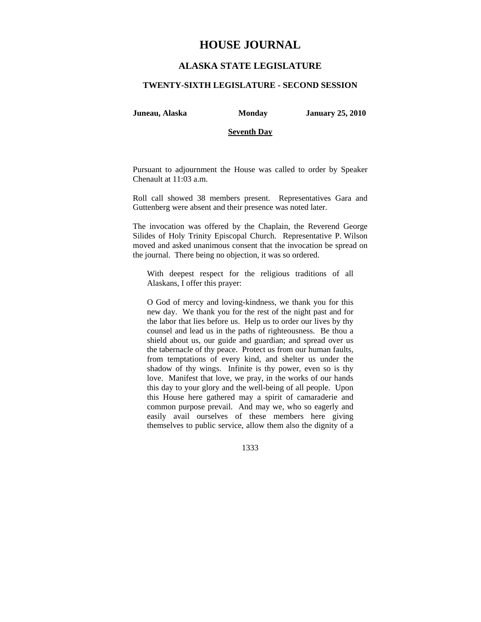# **HOUSE JOURNAL**

# **ALASKA STATE LEGISLATURE**

#### **TWENTY-SIXTH LEGISLATURE - SECOND SESSION**

**Juneau, Alaska Monday January 25, 2010** 

### **Seventh Day**

Pursuant to adjournment the House was called to order by Speaker Chenault at 11:03 a.m.

Roll call showed 38 members present. Representatives Gara and Guttenberg were absent and their presence was noted later.

The invocation was offered by the Chaplain, the Reverend George Silides of Holy Trinity Episcopal Church. Representative P. Wilson moved and asked unanimous consent that the invocation be spread on the journal. There being no objection, it was so ordered.

With deepest respect for the religious traditions of all Alaskans, I offer this prayer:

O God of mercy and loving-kindness, we thank you for this new day. We thank you for the rest of the night past and for the labor that lies before us. Help us to order our lives by thy counsel and lead us in the paths of righteousness. Be thou a shield about us, our guide and guardian; and spread over us the tabernacle of thy peace. Protect us from our human faults, from temptations of every kind, and shelter us under the shadow of thy wings. Infinite is thy power, even so is thy love. Manifest that love, we pray, in the works of our hands this day to your glory and the well-being of all people. Upon this House here gathered may a spirit of camaraderie and common purpose prevail. And may we, who so eagerly and easily avail ourselves of these members here giving themselves to public service, allow them also the dignity of a

1333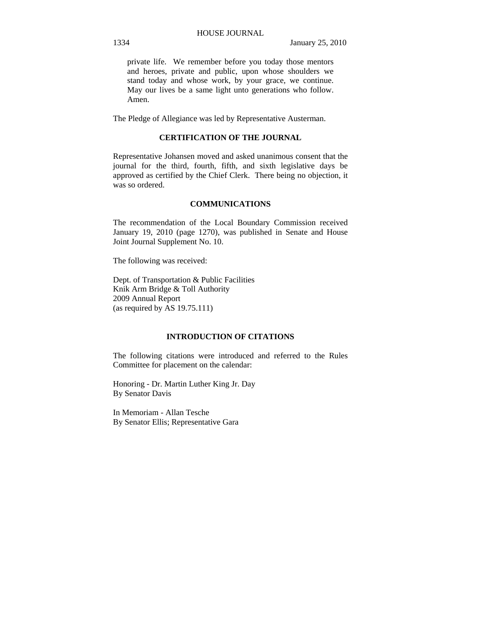private life. We remember before you today those mentors and heroes, private and public, upon whose shoulders we stand today and whose work, by your grace, we continue. May our lives be a same light unto generations who follow. Amen.

The Pledge of Allegiance was led by Representative Austerman.

## **CERTIFICATION OF THE JOURNAL**

Representative Johansen moved and asked unanimous consent that the journal for the third, fourth, fifth, and sixth legislative days be approved as certified by the Chief Clerk. There being no objection, it was so ordered.

# **COMMUNICATIONS**

The recommendation of the Local Boundary Commission received January 19, 2010 (page 1270), was published in Senate and House Joint Journal Supplement No. 10.

The following was received:

Dept. of Transportation & Public Facilities Knik Arm Bridge & Toll Authority 2009 Annual Report (as required by AS 19.75.111)

# **INTRODUCTION OF CITATIONS**

The following citations were introduced and referred to the Rules Committee for placement on the calendar:

Honoring - Dr. Martin Luther King Jr. Day By Senator Davis

In Memoriam - Allan Tesche By Senator Ellis; Representative Gara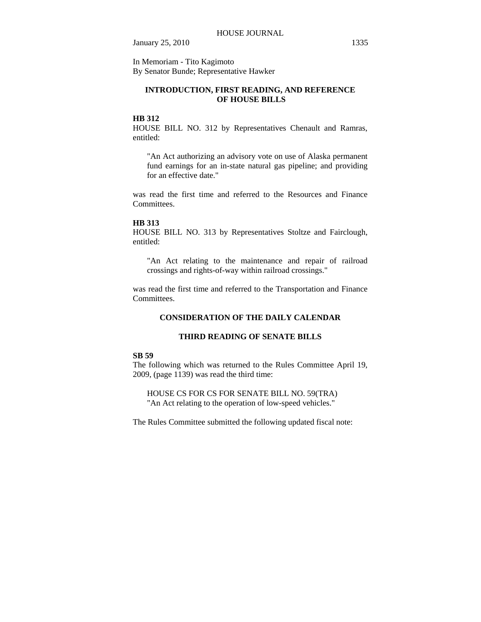January 25, 2010 1335

In Memoriam - Tito Kagimoto By Senator Bunde; Representative Hawker

# **INTRODUCTION, FIRST READING, AND REFERENCE OF HOUSE BILLS**

# **HB 312**

HOUSE BILL NO. 312 by Representatives Chenault and Ramras, entitled:

"An Act authorizing an advisory vote on use of Alaska permanent fund earnings for an in-state natural gas pipeline; and providing for an effective date."

was read the first time and referred to the Resources and Finance Committees.

#### **HB 313**

HOUSE BILL NO. 313 by Representatives Stoltze and Fairclough, entitled:

"An Act relating to the maintenance and repair of railroad crossings and rights-of-way within railroad crossings."

was read the first time and referred to the Transportation and Finance Committees.

# **CONSIDERATION OF THE DAILY CALENDAR**

# **THIRD READING OF SENATE BILLS**

# **SB 59**

The following which was returned to the Rules Committee April 19, 2009, (page 1139) was read the third time:

HOUSE CS FOR CS FOR SENATE BILL NO. 59(TRA) "An Act relating to the operation of low-speed vehicles."

The Rules Committee submitted the following updated fiscal note: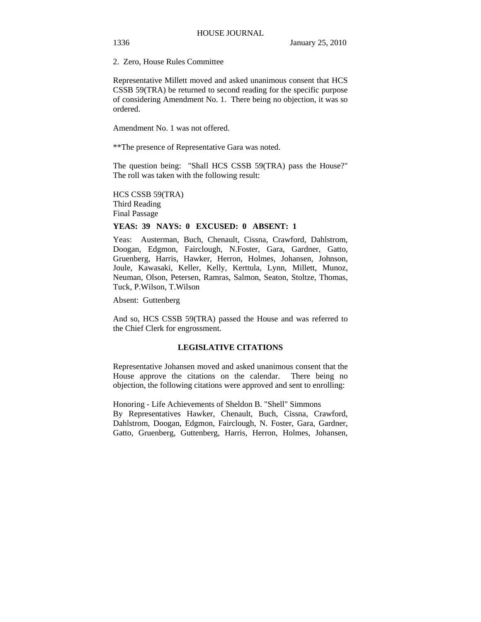2. Zero, House Rules Committee

Representative Millett moved and asked unanimous consent that HCS CSSB 59(TRA) be returned to second reading for the specific purpose of considering Amendment No. 1. There being no objection, it was so ordered.

Amendment No. 1 was not offered.

\*\*The presence of Representative Gara was noted.

The question being: "Shall HCS CSSB 59(TRA) pass the House?" The roll was taken with the following result:

HCS CSSB 59(TRA) Third Reading Final Passage

### **YEAS: 39 NAYS: 0 EXCUSED: 0 ABSENT: 1**

Yeas: Austerman, Buch, Chenault, Cissna, Crawford, Dahlstrom, Doogan, Edgmon, Fairclough, N.Foster, Gara, Gardner, Gatto, Gruenberg, Harris, Hawker, Herron, Holmes, Johansen, Johnson, Joule, Kawasaki, Keller, Kelly, Kerttula, Lynn, Millett, Munoz, Neuman, Olson, Petersen, Ramras, Salmon, Seaton, Stoltze, Thomas, Tuck, P.Wilson, T.Wilson

Absent: Guttenberg

And so, HCS CSSB 59(TRA) passed the House and was referred to the Chief Clerk for engrossment.

# **LEGISLATIVE CITATIONS**

Representative Johansen moved and asked unanimous consent that the House approve the citations on the calendar. There being no objection, the following citations were approved and sent to enrolling:

Honoring - Life Achievements of Sheldon B. "Shell" Simmons By Representatives Hawker, Chenault, Buch, Cissna, Crawford, Dahlstrom, Doogan, Edgmon, Fairclough, N. Foster, Gara, Gardner, Gatto, Gruenberg, Guttenberg, Harris, Herron, Holmes, Johansen,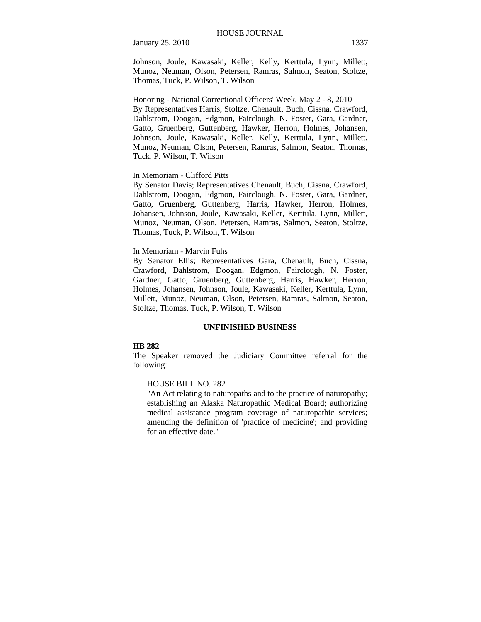January 25, 2010 1337

Johnson, Joule, Kawasaki, Keller, Kelly, Kerttula, Lynn, Millett, Munoz, Neuman, Olson, Petersen, Ramras, Salmon, Seaton, Stoltze, Thomas, Tuck, P. Wilson, T. Wilson

Honoring - National Correctional Officers' Week, May 2 - 8, 2010 By Representatives Harris, Stoltze, Chenault, Buch, Cissna, Crawford, Dahlstrom, Doogan, Edgmon, Fairclough, N. Foster, Gara, Gardner, Gatto, Gruenberg, Guttenberg, Hawker, Herron, Holmes, Johansen, Johnson, Joule, Kawasaki, Keller, Kelly, Kerttula, Lynn, Millett, Munoz, Neuman, Olson, Petersen, Ramras, Salmon, Seaton, Thomas, Tuck, P. Wilson, T. Wilson

#### In Memoriam - Clifford Pitts

By Senator Davis; Representatives Chenault, Buch, Cissna, Crawford, Dahlstrom, Doogan, Edgmon, Fairclough, N. Foster, Gara, Gardner, Gatto, Gruenberg, Guttenberg, Harris, Hawker, Herron, Holmes, Johansen, Johnson, Joule, Kawasaki, Keller, Kerttula, Lynn, Millett, Munoz, Neuman, Olson, Petersen, Ramras, Salmon, Seaton, Stoltze, Thomas, Tuck, P. Wilson, T. Wilson

#### In Memoriam - Marvin Fuhs

By Senator Ellis; Representatives Gara, Chenault, Buch, Cissna, Crawford, Dahlstrom, Doogan, Edgmon, Fairclough, N. Foster, Gardner, Gatto, Gruenberg, Guttenberg, Harris, Hawker, Herron, Holmes, Johansen, Johnson, Joule, Kawasaki, Keller, Kerttula, Lynn, Millett, Munoz, Neuman, Olson, Petersen, Ramras, Salmon, Seaton, Stoltze, Thomas, Tuck, P. Wilson, T. Wilson

#### **UNFINISHED BUSINESS**

#### **HB 282**

The Speaker removed the Judiciary Committee referral for the following:

# HOUSE BILL NO. 282

"An Act relating to naturopaths and to the practice of naturopathy; establishing an Alaska Naturopathic Medical Board; authorizing medical assistance program coverage of naturopathic services; amending the definition of 'practice of medicine'; and providing for an effective date."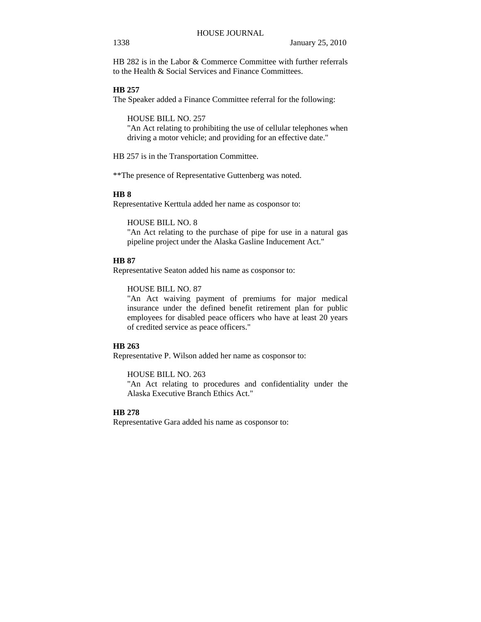HB 282 is in the Labor & Commerce Committee with further referrals to the Health & Social Services and Finance Committees.

# **HB 257**

The Speaker added a Finance Committee referral for the following:

HOUSE BILL NO. 257

"An Act relating to prohibiting the use of cellular telephones when driving a motor vehicle; and providing for an effective date."

HB 257 is in the Transportation Committee.

\*\*The presence of Representative Guttenberg was noted.

# **HB 8**

Representative Kerttula added her name as cosponsor to:

HOUSE BILL NO. 8

"An Act relating to the purchase of pipe for use in a natural gas pipeline project under the Alaska Gasline Inducement Act."

# **HB 87**

Representative Seaton added his name as cosponsor to:

HOUSE BILL NO. 87

"An Act waiving payment of premiums for major medical insurance under the defined benefit retirement plan for public employees for disabled peace officers who have at least 20 years of credited service as peace officers."

#### **HB 263**

Representative P. Wilson added her name as cosponsor to:

HOUSE BILL NO. 263

"An Act relating to procedures and confidentiality under the Alaska Executive Branch Ethics Act."

# **HB 278**

Representative Gara added his name as cosponsor to: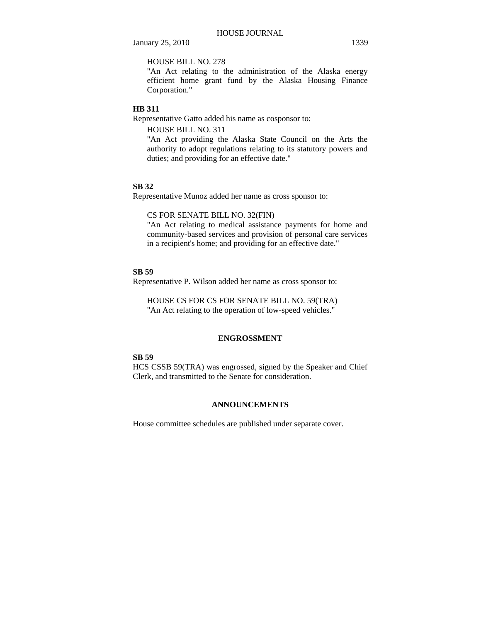January 25, 2010 1339

HOUSE BILL NO. 278

"An Act relating to the administration of the Alaska energy efficient home grant fund by the Alaska Housing Finance Corporation."

# **HB 311**

Representative Gatto added his name as cosponsor to:

HOUSE BILL NO. 311

"An Act providing the Alaska State Council on the Arts the authority to adopt regulations relating to its statutory powers and duties; and providing for an effective date."

#### **SB 32**

Representative Munoz added her name as cross sponsor to:

### CS FOR SENATE BILL NO. 32(FIN)

"An Act relating to medical assistance payments for home and community-based services and provision of personal care services in a recipient's home; and providing for an effective date."

# **SB 59**

Representative P. Wilson added her name as cross sponsor to:

HOUSE CS FOR CS FOR SENATE BILL NO. 59(TRA) "An Act relating to the operation of low-speed vehicles."

#### **ENGROSSMENT**

#### **SB 59**

HCS CSSB 59(TRA) was engrossed, signed by the Speaker and Chief Clerk, and transmitted to the Senate for consideration.

# **ANNOUNCEMENTS**

House committee schedules are published under separate cover.